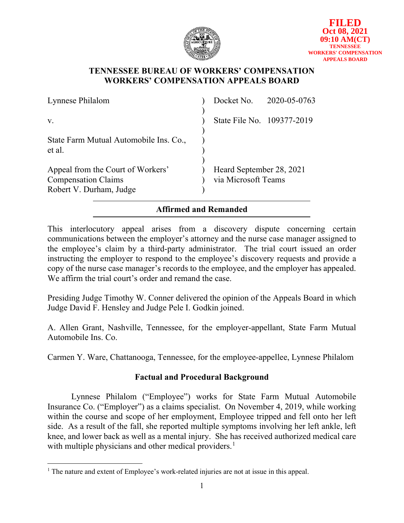

## **TENNESSEE BUREAU OF WORKERS' COMPENSATION WORKERS' COMPENSATION APPEALS BOARD**

| Lynnese Philalom                                                                           |                                                 | Docket No. 2020-05-0763 |
|--------------------------------------------------------------------------------------------|-------------------------------------------------|-------------------------|
| $V_{\rm r}$                                                                                | State File No. 109377-2019                      |                         |
| State Farm Mutual Automobile Ins. Co.,<br>et al.                                           |                                                 |                         |
| Appeal from the Court of Workers'<br><b>Compensation Claims</b><br>Robert V. Durham, Judge | Heard September 28, 2021<br>via Microsoft Teams |                         |

# **Affirmed and Remanded**

This interlocutory appeal arises from a discovery dispute concerning certain communications between the employer's attorney and the nurse case manager assigned to the employee's claim by a third-party administrator. The trial court issued an order instructing the employer to respond to the employee's discovery requests and provide a copy of the nurse case manager's records to the employee, and the employer has appealed. We affirm the trial court's order and remand the case.

Presiding Judge Timothy W. Conner delivered the opinion of the Appeals Board in which Judge David F. Hensley and Judge Pele I. Godkin joined.

A. Allen Grant, Nashville, Tennessee, for the employer-appellant, State Farm Mutual Automobile Ins. Co.

Carmen Y. Ware, Chattanooga, Tennessee, for the employee-appellee, Lynnese Philalom

# **Factual and Procedural Background**

Lynnese Philalom ("Employee") works for State Farm Mutual Automobile Insurance Co. ("Employer") as a claims specialist. On November 4, 2019, while working within the course and scope of her employment, Employee tripped and fell onto her left side. As a result of the fall, she reported multiple symptoms involving her left ankle, left knee, and lower back as well as a mental injury. She has received authorized medical care with multiple physicians and other medical providers.<sup>[1](#page-0-0)</sup>

<span id="page-0-0"></span><sup>&</sup>lt;sup>1</sup> The nature and extent of Employee's work-related injuries are not at issue in this appeal.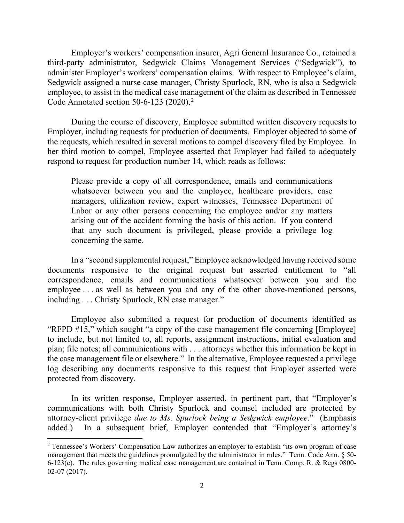Employer's workers' compensation insurer, Agri General Insurance Co., retained a third-party administrator, Sedgwick Claims Management Services ("Sedgwick"), to administer Employer's workers' compensation claims. With respect to Employee's claim, Sedgwick assigned a nurse case manager, Christy Spurlock, RN, who is also a Sedgwick employee, to assist in the medical case management of the claim as described in Tennessee Code Annotated section 50-6-1[2](#page-1-0)3 (2020).<sup>2</sup>

During the course of discovery, Employee submitted written discovery requests to Employer, including requests for production of documents. Employer objected to some of the requests, which resulted in several motions to compel discovery filed by Employee. In her third motion to compel, Employee asserted that Employer had failed to adequately respond to request for production number 14, which reads as follows:

Please provide a copy of all correspondence, emails and communications whatsoever between you and the employee, healthcare providers, case managers, utilization review, expert witnesses, Tennessee Department of Labor or any other persons concerning the employee and/or any matters arising out of the accident forming the basis of this action. If you contend that any such document is privileged, please provide a privilege log concerning the same.

In a "second supplemental request," Employee acknowledged having received some documents responsive to the original request but asserted entitlement to "all correspondence, emails and communications whatsoever between you and the employee . . . as well as between you and any of the other above-mentioned persons, including . . . Christy Spurlock, RN case manager."

Employee also submitted a request for production of documents identified as "RFPD #15," which sought "a copy of the case management file concerning [Employee] to include, but not limited to, all reports, assignment instructions, initial evaluation and plan; file notes; all communications with . . . attorneys whether this information be kept in the case management file or elsewhere." In the alternative, Employee requested a privilege log describing any documents responsive to this request that Employer asserted were protected from discovery.

In its written response, Employer asserted, in pertinent part, that "Employer's communications with both Christy Spurlock and counsel included are protected by attorney-client privilege *due to Ms. Spurlock being a Sedgwick employee*." (Emphasis added.) In a subsequent brief, Employer contended that "Employer's attorney's

<span id="page-1-0"></span><sup>2</sup> Tennessee's Workers' Compensation Law authorizes an employer to establish "its own program of case management that meets the guidelines promulgated by the administrator in rules." Tenn. Code Ann. § 50- 6-123(e). The rules governing medical case management are contained in Tenn. Comp. R. & Regs 0800- 02-07 (2017).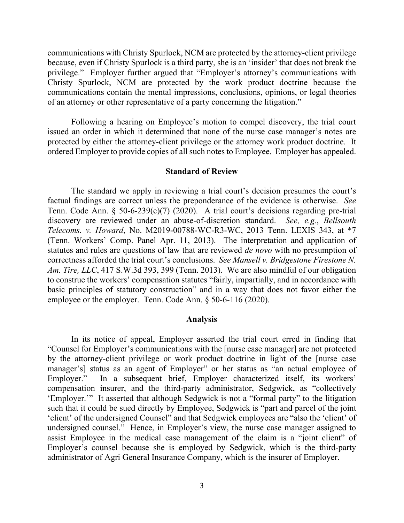communications with Christy Spurlock, NCM are protected by the attorney-client privilege because, even if Christy Spurlock is a third party, she is an 'insider' that does not break the privilege." Employer further argued that "Employer's attorney's communications with Christy Spurlock, NCM are protected by the work product doctrine because the communications contain the mental impressions, conclusions, opinions, or legal theories of an attorney or other representative of a party concerning the litigation."

Following a hearing on Employee's motion to compel discovery, the trial court issued an order in which it determined that none of the nurse case manager's notes are protected by either the attorney-client privilege or the attorney work product doctrine. It ordered Employer to provide copies of all such notes to Employee. Employer has appealed.

#### **Standard of Review**

The standard we apply in reviewing a trial court's decision presumes the court's factual findings are correct unless the preponderance of the evidence is otherwise. *See* Tenn. Code Ann. § 50-6-239(c)(7) (2020). A trial court's decisions regarding pre-trial discovery are reviewed under an abuse-of-discretion standard. *See, e.g.*, *Bellsouth Telecoms. v. Howard*, No. M2019-00788-WC-R3-WC, 2013 Tenn. LEXIS 343, at \*7 (Tenn. Workers' Comp. Panel Apr. 11, 2013). The interpretation and application of statutes and rules are questions of law that are reviewed *de novo* with no presumption of correctness afforded the trial court's conclusions. *See Mansell v. Bridgestone Firestone N. Am. Tire, LLC*, 417 S.W.3d 393, 399 (Tenn. 2013). We are also mindful of our obligation to construe the workers' compensation statutes "fairly, impartially, and in accordance with basic principles of statutory construction" and in a way that does not favor either the employee or the employer. Tenn. Code Ann. § 50-6-116 (2020).

#### **Analysis**

In its notice of appeal, Employer asserted the trial court erred in finding that "Counsel for Employer's communications with the [nurse case manager] are not protected by the attorney-client privilege or work product doctrine in light of the [nurse case manager's] status as an agent of Employer" or her status as "an actual employee of Employer." In a subsequent brief, Employer characterized itself, its workers' compensation insurer, and the third-party administrator, Sedgwick, as "collectively 'Employer.'" It asserted that although Sedgwick is not a "formal party" to the litigation such that it could be sued directly by Employee, Sedgwick is "part and parcel of the joint 'client' of the undersigned Counsel" and that Sedgwick employees are "also the 'client' of undersigned counsel." Hence, in Employer's view, the nurse case manager assigned to assist Employee in the medical case management of the claim is a "joint client" of Employer's counsel because she is employed by Sedgwick, which is the third-party administrator of Agri General Insurance Company, which is the insurer of Employer.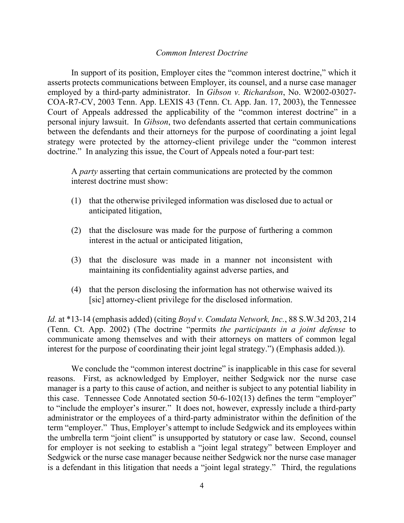#### *Common Interest Doctrine*

In support of its position, Employer cites the "common interest doctrine," which it asserts protects communications between Employer, its counsel, and a nurse case manager employed by a third-party administrator. In *Gibson v. Richardson*, No. W2002-03027- COA-R7-CV, 2003 Tenn. App. LEXIS 43 (Tenn. Ct. App. Jan. 17, 2003), the Tennessee Court of Appeals addressed the applicability of the "common interest doctrine" in a personal injury lawsuit. In *Gibson*, two defendants asserted that certain communications between the defendants and their attorneys for the purpose of coordinating a joint legal strategy were protected by the attorney-client privilege under the "common interest doctrine." In analyzing this issue, the Court of Appeals noted a four-part test:

A *party* asserting that certain communications are protected by the common interest doctrine must show:

- (1) that the otherwise privileged information was disclosed due to actual or anticipated litigation,
- (2) that the disclosure was made for the purpose of furthering a common interest in the actual or anticipated litigation,
- (3) that the disclosure was made in a manner not inconsistent with maintaining its confidentiality against adverse parties, and
- (4) that the person disclosing the information has not otherwise waived its [sic] attorney-client privilege for the disclosed information.

*Id.* at \*13-14 (emphasis added) (citing *Boyd v. Comdata Network, Inc.*, 88 S.W.3d 203, 214 (Tenn. Ct. App. 2002) (The doctrine "permits *the participants in a joint defense* to communicate among themselves and with their attorneys on matters of common legal interest for the purpose of coordinating their joint legal strategy.") (Emphasis added.)).

We conclude the "common interest doctrine" is inapplicable in this case for several reasons. First, as acknowledged by Employer, neither Sedgwick nor the nurse case manager is a party to this cause of action, and neither is subject to any potential liability in this case. Tennessee Code Annotated section 50-6-102(13) defines the term "employer" to "include the employer's insurer." It does not, however, expressly include a third-party administrator or the employees of a third-party administrator within the definition of the term "employer." Thus, Employer's attempt to include Sedgwick and its employees within the umbrella term "joint client" is unsupported by statutory or case law. Second, counsel for employer is not seeking to establish a "joint legal strategy" between Employer and Sedgwick or the nurse case manager because neither Sedgwick nor the nurse case manager is a defendant in this litigation that needs a "joint legal strategy." Third, the regulations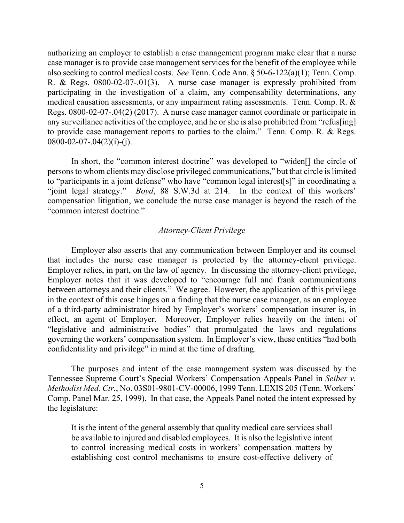authorizing an employer to establish a case management program make clear that a nurse case manager is to provide case management services for the benefit of the employee while also seeking to control medical costs. *See* Tenn. Code Ann. § 50-6-122(a)(1); Tenn. Comp. R. & Regs. 0800-02-07-.01(3). A nurse case manager is expressly prohibited from participating in the investigation of a claim, any compensability determinations, any medical causation assessments, or any impairment rating assessments. Tenn. Comp. R. & Regs. 0800-02-07-.04(2) (2017). A nurse case manager cannot coordinate or participate in any surveillance activities of the employee, and he or she is also prohibited from "refus[ing] to provide case management reports to parties to the claim." Tenn. Comp. R. & Regs.  $0800-02-07-.04(2)(i)-(i).$ 

In short, the "common interest doctrine" was developed to "widen[] the circle of persons to whom clients may disclose privileged communications," but that circle is limited to "participants in a joint defense" who have "common legal interest[s]" in coordinating a "joint legal strategy." *Boyd*, 88 S.W.3d at 214. In the context of this workers' compensation litigation, we conclude the nurse case manager is beyond the reach of the "common interest doctrine."

#### *Attorney-Client Privilege*

Employer also asserts that any communication between Employer and its counsel that includes the nurse case manager is protected by the attorney-client privilege. Employer relies, in part, on the law of agency. In discussing the attorney-client privilege, Employer notes that it was developed to "encourage full and frank communications between attorneys and their clients." We agree. However, the application of this privilege in the context of this case hinges on a finding that the nurse case manager, as an employee of a third-party administrator hired by Employer's workers' compensation insurer is, in effect, an agent of Employer. Moreover, Employer relies heavily on the intent of "legislative and administrative bodies" that promulgated the laws and regulations governing the workers' compensation system. In Employer's view, these entities "had both confidentiality and privilege" in mind at the time of drafting.

The purposes and intent of the case management system was discussed by the Tennessee Supreme Court's Special Workers' Compensation Appeals Panel in *Seiber v. Methodist Med. Ctr.*, No. 03S01-9801-CV-00006, 1999 Tenn. LEXIS 205 (Tenn. Workers' Comp. Panel Mar. 25, 1999). In that case, the Appeals Panel noted the intent expressed by the legislature:

It is the intent of the general assembly that quality medical care services shall be available to injured and disabled employees. It is also the legislative intent to control increasing medical costs in workers' compensation matters by establishing cost control mechanisms to ensure cost-effective delivery of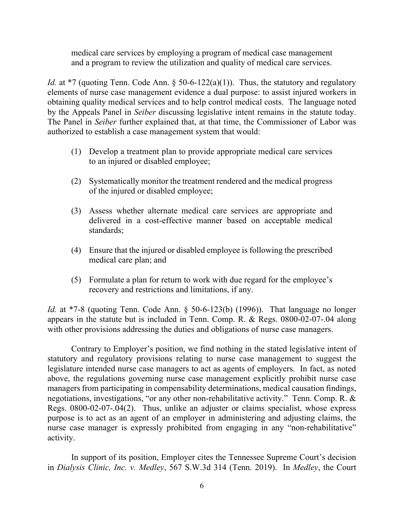medical care services by employing a program of medical case management and a program to review the utilization and quality of medical care services.

*Id.* at \*7 (quoting Tenn. Code Ann. § 50-6-122(a)(1)). Thus, the statutory and regulatory elements of nurse case management evidence a dual purpose: to assist injured workers in obtaining quality medical services and to help control medical costs. The language noted by the Appeals Panel in *Seiber* discussing legislative intent remains in the statute today. The Panel in *Seiber* further explained that, at that time, the Commissioner of Labor was authorized to establish a case management system that would:

- (1) Develop a treatment plan to provide appropriate medical care services to an injured or disabled employee;
- (2) Systematically monitor the treatment rendered and the medical progress of the injured or disabled employee;
- (3) Assess whether alternate medical care services are appropriate and delivered in a cost-effective manner based on acceptable medical standards;
- (4) Ensure that the injured or disabled employee is following the prescribed medical care plan; and
- (5) Formulate a plan for return to work with due regard for the employee's recovery and restrictions and limitations, if any.

*Id.* at \*7-8 (quoting Tenn. Code Ann. § 50-6-123(b) (1996)). That language no longer appears in the statute but is included in Tenn. Comp. R. & Regs. 0800-02-07-.04 along with other provisions addressing the duties and obligations of nurse case managers.

Contrary to Employer's position, we find nothing in the stated legislative intent of statutory and regulatory provisions relating to nurse case management to suggest the legislature intended nurse case managers to act as agents of employers. In fact, as noted above, the regulations governing nurse case management explicitly prohibit nurse case managers from participating in compensability determinations, medical causation findings, negotiations, investigations, "or any other non-rehabilitative activity." Tenn. Comp. R. & Regs. 0800-02-07-.04(2). Thus, unlike an adjuster or claims specialist, whose express purpose is to act as an agent of an employer in administering and adjusting claims, the nurse case manager is expressly prohibited from engaging in any "non-rehabilitative" activity.

In support of its position, Employer cites the Tennessee Supreme Court's decision in *Dialysis Clinic, Inc. v. Medley*, 567 S.W.3d 314 (Tenn. 2019). In *Medley*, the Court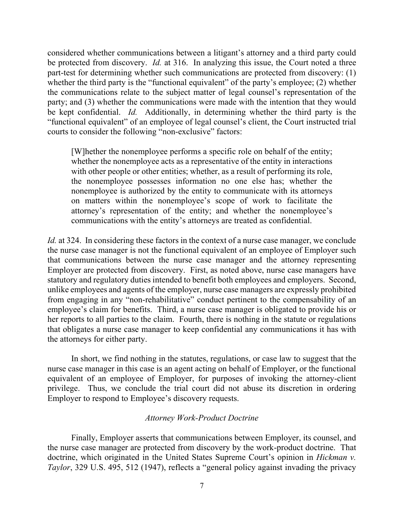considered whether communications between a litigant's attorney and a third party could be protected from discovery. *Id.* at 316. In analyzing this issue, the Court noted a three part-test for determining whether such communications are protected from discovery: (1) whether the third party is the "functional equivalent" of the party's employee; (2) whether the communications relate to the subject matter of legal counsel's representation of the party; and (3) whether the communications were made with the intention that they would be kept confidential. *Id.* Additionally, in determining whether the third party is the "functional equivalent" of an employee of legal counsel's client, the Court instructed trial courts to consider the following "non-exclusive" factors:

[W]hether the nonemployee performs a specific role on behalf of the entity; whether the nonemployee acts as a representative of the entity in interactions with other people or other entities; whether, as a result of performing its role, the nonemployee possesses information no one else has; whether the nonemployee is authorized by the entity to communicate with its attorneys on matters within the nonemployee's scope of work to facilitate the attorney's representation of the entity; and whether the nonemployee's communications with the entity's attorneys are treated as confidential.

*Id.* at 324. In considering these factors in the context of a nurse case manager, we conclude the nurse case manager is not the functional equivalent of an employee of Employer such that communications between the nurse case manager and the attorney representing Employer are protected from discovery. First, as noted above, nurse case managers have statutory and regulatory duties intended to benefit both employees and employers. Second, unlike employees and agents of the employer, nurse case managers are expressly prohibited from engaging in any "non-rehabilitative" conduct pertinent to the compensability of an employee's claim for benefits. Third, a nurse case manager is obligated to provide his or her reports to all parties to the claim. Fourth, there is nothing in the statute or regulations that obligates a nurse case manager to keep confidential any communications it has with the attorneys for either party.

In short, we find nothing in the statutes, regulations, or case law to suggest that the nurse case manager in this case is an agent acting on behalf of Employer, or the functional equivalent of an employee of Employer, for purposes of invoking the attorney-client privilege. Thus, we conclude the trial court did not abuse its discretion in ordering Employer to respond to Employee's discovery requests.

### *Attorney Work-Product Doctrine*

Finally, Employer asserts that communications between Employer, its counsel, and the nurse case manager are protected from discovery by the work-product doctrine. That doctrine, which originated in the United States Supreme Court's opinion in *Hickman v. Taylor*, 329 U.S. 495, 512 (1947), reflects a "general policy against invading the privacy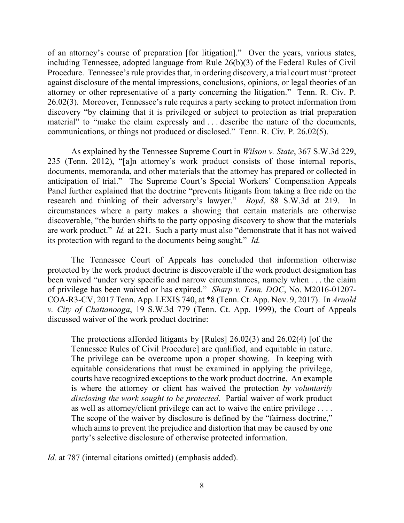of an attorney's course of preparation [for litigation]." Over the years, various states, including Tennessee, adopted language from Rule 26(b)(3) of the Federal Rules of Civil Procedure. Tennessee's rule provides that, in ordering discovery, a trial court must "protect against disclosure of the mental impressions, conclusions, opinions, or legal theories of an attorney or other representative of a party concerning the litigation." Tenn. R. Civ. P. 26.02(3). Moreover, Tennessee's rule requires a party seeking to protect information from discovery "by claiming that it is privileged or subject to protection as trial preparation material" to "make the claim expressly and . . . describe the nature of the documents, communications, or things not produced or disclosed." Tenn. R. Civ. P. 26.02(5).

As explained by the Tennessee Supreme Court in *Wilson v. State*, 367 S.W.3d 229, 235 (Tenn. 2012), "[a]n attorney's work product consists of those internal reports, documents, memoranda, and other materials that the attorney has prepared or collected in anticipation of trial." The Supreme Court's Special Workers' Compensation Appeals Panel further explained that the doctrine "prevents litigants from taking a free ride on the research and thinking of their adversary's lawyer." *Boyd*, 88 S.W.3d at 219. In circumstances where a party makes a showing that certain materials are otherwise discoverable, "the burden shifts to the party opposing discovery to show that the materials are work product." *Id.* at 221. Such a party must also "demonstrate that it has not waived its protection with regard to the documents being sought." *Id.*

The Tennessee Court of Appeals has concluded that information otherwise protected by the work product doctrine is discoverable if the work product designation has been waived "under very specific and narrow circumstances, namely when . . . the claim of privilege has been waived or has expired." *Sharp v. Tenn. DOC*, No. M2016-01207- COA-R3-CV, 2017 Tenn. App. LEXIS 740, at \*8 (Tenn. Ct. App. Nov. 9, 2017). In *Arnold v. City of Chattanooga*, 19 S.W.3d 779 (Tenn. Ct. App. 1999), the Court of Appeals discussed waiver of the work product doctrine:

The protections afforded litigants by [Rules] 26.02(3) and 26.02(4) [of the Tennessee Rules of Civil Procedure] are qualified, and equitable in nature. The privilege can be overcome upon a proper showing. In keeping with equitable considerations that must be examined in applying the privilege, courts have recognized exceptions to the work product doctrine. An example is where the attorney or client has waived the protection *by voluntarily disclosing the work sought to be protected*. Partial waiver of work product as well as attorney/client privilege can act to waive the entire privilege . . . . The scope of the waiver by disclosure is defined by the "fairness doctrine," which aims to prevent the prejudice and distortion that may be caused by one party's selective disclosure of otherwise protected information.

*Id.* at 787 (internal citations omitted) (emphasis added).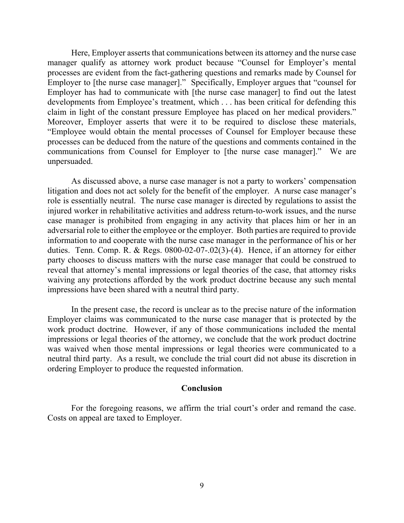Here, Employer asserts that communications between its attorney and the nurse case manager qualify as attorney work product because "Counsel for Employer's mental processes are evident from the fact-gathering questions and remarks made by Counsel for Employer to [the nurse case manager]." Specifically, Employer argues that "counsel for Employer has had to communicate with [the nurse case manager] to find out the latest developments from Employee's treatment, which . . . has been critical for defending this claim in light of the constant pressure Employee has placed on her medical providers." Moreover, Employer asserts that were it to be required to disclose these materials, "Employee would obtain the mental processes of Counsel for Employer because these processes can be deduced from the nature of the questions and comments contained in the communications from Counsel for Employer to [the nurse case manager]." We are unpersuaded.

As discussed above, a nurse case manager is not a party to workers' compensation litigation and does not act solely for the benefit of the employer. A nurse case manager's role is essentially neutral. The nurse case manager is directed by regulations to assist the injured worker in rehabilitative activities and address return-to-work issues, and the nurse case manager is prohibited from engaging in any activity that places him or her in an adversarial role to either the employee or the employer. Both parties are required to provide information to and cooperate with the nurse case manager in the performance of his or her duties. Tenn. Comp. R. & Regs. 0800-02-07-.02(3)-(4). Hence, if an attorney for either party chooses to discuss matters with the nurse case manager that could be construed to reveal that attorney's mental impressions or legal theories of the case, that attorney risks waiving any protections afforded by the work product doctrine because any such mental impressions have been shared with a neutral third party.

In the present case, the record is unclear as to the precise nature of the information Employer claims was communicated to the nurse case manager that is protected by the work product doctrine. However, if any of those communications included the mental impressions or legal theories of the attorney, we conclude that the work product doctrine was waived when those mental impressions or legal theories were communicated to a neutral third party. As a result, we conclude the trial court did not abuse its discretion in ordering Employer to produce the requested information.

### **Conclusion**

For the foregoing reasons, we affirm the trial court's order and remand the case. Costs on appeal are taxed to Employer.